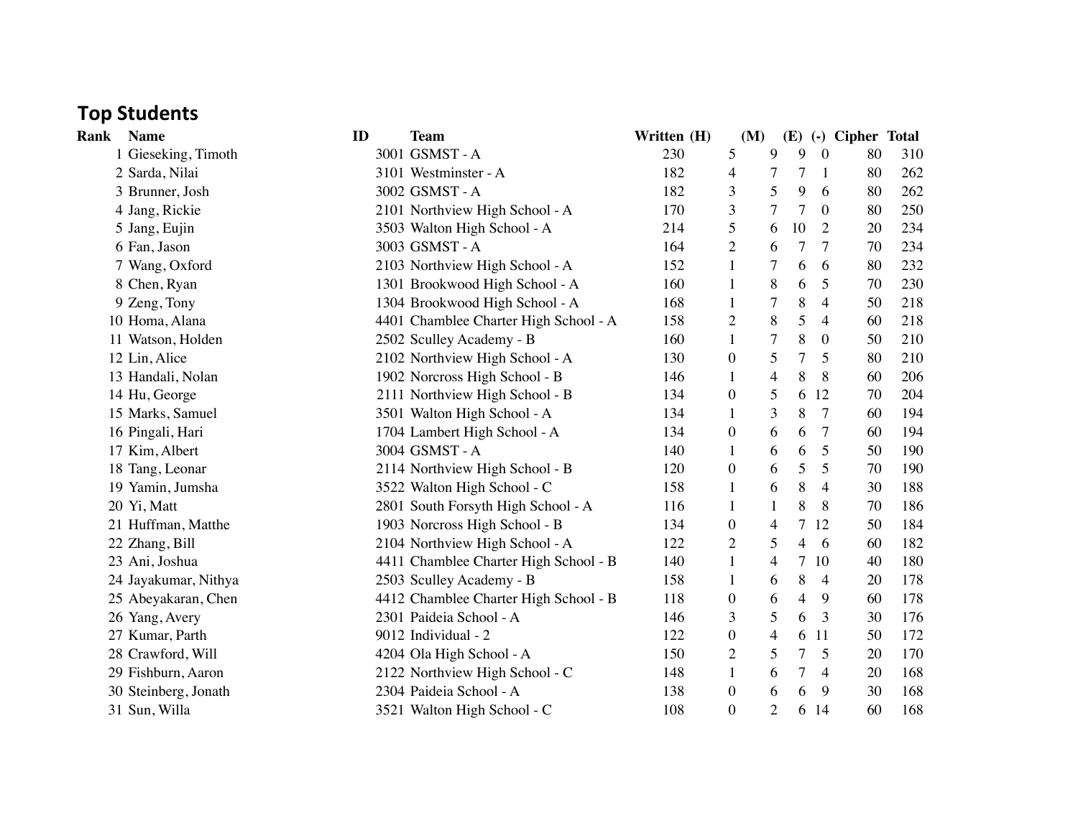## **Top Students**

| Rank | <b>Name</b>          | ID | <b>Team</b>                           | Written (H) |                  | (M)            | (E) |                | (-) Cipher Total |     |
|------|----------------------|----|---------------------------------------|-------------|------------------|----------------|-----|----------------|------------------|-----|
|      | 1 Gieseking, Timoth  |    | 3001 GSMST-A                          | 230         | 5                | 9              | 9   | $\theta$       | 80               | 310 |
|      | 2 Sarda, Nilai       |    | 3101 Westminster - A                  | 182         | 4                | 7              | 7   | -1             | 80               | 262 |
|      | 3 Brunner, Josh      |    | 3002 GSMST-A                          | 182         | 3                | 5              | 9   | 6              | 80               | 262 |
|      | 4 Jang, Rickie       |    | 2101 Northview High School - A        | 170         | 3                | 7              | 7   | $\theta$       | 80               | 250 |
|      | 5 Jang, Eujin        |    | 3503 Walton High School - A           | 214         | 5                | 6              | 10  | $\overline{2}$ | 20               | 234 |
|      | 6 Fan, Jason         |    | 3003 GSMST-A                          | 164         | $\overline{2}$   | 6              | 7   | 7              | 70               | 234 |
|      | 7 Wang, Oxford       |    | 2103 Northview High School - A        | 152         |                  | 7              | 6   | 6              | 80               | 232 |
|      | 8 Chen, Ryan         |    | 1301 Brookwood High School - A        | 160         |                  | 8              | 6   | 5              | 70               | 230 |
|      | 9 Zeng, Tony         |    | 1304 Brookwood High School - A        | 168         |                  | 7              | 8   | 4              | 50               | 218 |
|      | 10 Homa, Alana       |    | 4401 Chamblee Charter High School - A | 158         | $\overline{2}$   | 8              | 5   | $\overline{4}$ | 60               | 218 |
|      | 11 Watson, Holden    |    | 2502 Sculley Academy - B              | 160         | 1                | 7              | 8   | $\overline{0}$ | 50               | 210 |
|      | 12 Lin, Alice        |    | 2102 Northview High School - A        | 130         | $\boldsymbol{0}$ | 5              | 7   | 5              | 80               | 210 |
|      | 13 Handali, Nolan    |    | 1902 Norcross High School - B         | 146         | 1                | $\overline{4}$ | 8   | 8              | 60               | 206 |
|      | 14 Hu, George        |    | 2111 Northview High School - B        | 134         | $\theta$         | 5              | 6   | 12             | 70               | 204 |
|      | 15 Marks, Samuel     |    | 3501 Walton High School - A           | 134         | 1                | 3              | 8   | 7              | 60               | 194 |
|      | 16 Pingali, Hari     |    | 1704 Lambert High School - A          | 134         | $\boldsymbol{0}$ | 6              | 6   | $\overline{7}$ | 60               | 194 |
|      | 17 Kim, Albert       |    | 3004 GSMST - A                        | 140         | 1                | 6              | 6   | 5              | 50               | 190 |
|      | 18 Tang, Leonar      |    | 2114 Northview High School - B        | 120         | $\theta$         | 6              | 5   | 5              | 70               | 190 |
|      | 19 Yamin, Jumsha     |    | 3522 Walton High School - C           | 158         |                  | 6              | 8   | $\overline{4}$ | 30               | 188 |
|      | 20 Yi, Matt          |    | 2801 South Forsyth High School - A    | 116         |                  | 1              | 8   | 8              | 70               | 186 |
|      | 21 Huffman, Matthe   |    | 1903 Norcross High School - B         | 134         | 0                | 4              | 7   | 12             | 50               | 184 |
|      | 22 Zhang, Bill       |    | 2104 Northview High School - A        | 122         | $\overline{2}$   | 5              | 4   | 6              | 60               | 182 |
|      | 23 Ani, Joshua       |    | 4411 Chamblee Charter High School - B | 140         | 1                | 4              | 7   | 10             | 40               | 180 |
|      | 24 Jayakumar, Nithya |    | 2503 Sculley Academy - B              | 158         | 1                | 6              | 8   | 4              | 20               | 178 |
|      | 25 Abeyakaran, Chen  |    | 4412 Chamblee Charter High School - B | 118         | $\theta$         | 6              | 4   | 9              | 60               | 178 |
|      | 26 Yang, Avery       |    | 2301 Paideia School - A               | 146         | 3                | 5              | 6   | 3              | 30               | 176 |
|      | 27 Kumar, Parth      |    | 9012 Individual - 2                   | 122         | 0                | 4              | 6   | 11             | 50               | 172 |
|      | 28 Crawford, Will    |    | 4204 Ola High School - A              | 150         | $\overline{2}$   | 5              | 7   | 5              | 20               | 170 |
|      | 29 Fishburn, Aaron   |    | 2122 Northview High School - C        | 148         | 1                | 6              | 7   | 4              | 20               | 168 |
|      | 30 Steinberg, Jonath |    | 2304 Paideia School - A               | 138         | $\theta$         | 6              | 6   | 9              | 30               | 168 |
|      | 31 Sun, Willa        |    | 3521 Walton High School - C           | 108         | $\theta$         | $\overline{2}$ | 6   | 14             | 60               | 168 |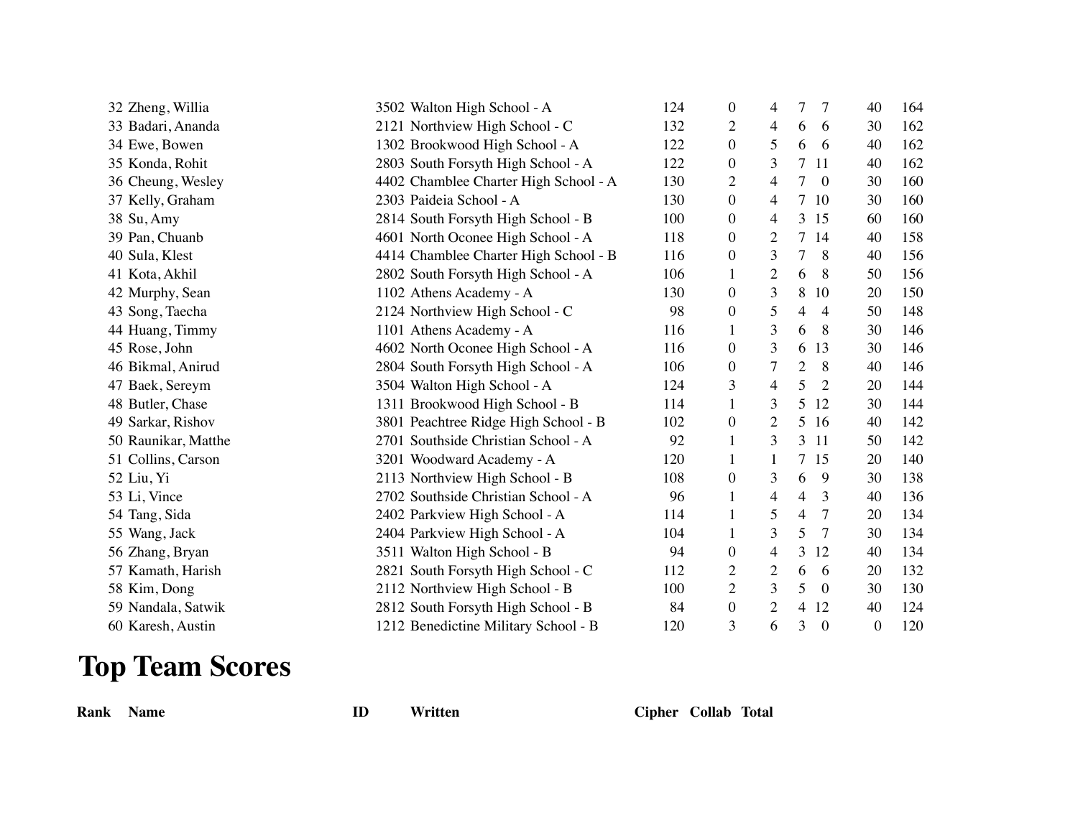| 32 Zheng, Willia    | 3502 Walton High School - A           | 124 | $\mathbf{0}$     | 4              | 7<br>7              | 40 | 164 |
|---------------------|---------------------------------------|-----|------------------|----------------|---------------------|----|-----|
| 33 Badari, Ananda   | 2121 Northview High School - C        | 132 | $\overline{2}$   | 4              | 6<br>6              | 30 | 162 |
| 34 Ewe, Bowen       | 1302 Brookwood High School - A        | 122 | $\boldsymbol{0}$ | 5              | 6<br>6              | 40 | 162 |
| 35 Konda, Rohit     | 2803 South Forsyth High School - A    | 122 | $\overline{0}$   | 3              | 7<br>11             | 40 | 162 |
| 36 Cheung, Wesley   | 4402 Chamblee Charter High School - A | 130 | 2                | 4              | 7<br>$\theta$       | 30 | 160 |
| 37 Kelly, Graham    | 2303 Paideia School - A               | 130 | $\mathbf{0}$     | 4              | 7<br>-10            | 30 | 160 |
| 38 Su, Amy          | 2814 South Forsyth High School - B    | 100 | $\mathbf{0}$     | 4              | 3<br>15             | 60 | 160 |
| 39 Pan, Chuanb      | 4601 North Oconee High School - A     | 118 | $\mathbf{0}$     | $\overline{2}$ | 7<br>14             | 40 | 158 |
| 40 Sula, Klest      | 4414 Chamblee Charter High School - B | 116 | $\mathbf{0}$     | 3              | 7<br>8              | 40 | 156 |
| 41 Kota, Akhil      | 2802 South Forsyth High School - A    | 106 | 1                | $\overline{c}$ | 8<br>6              | 50 | 156 |
| 42 Murphy, Sean     | 1102 Athens Academy - A               | 130 | $\theta$         | 3              | 8<br>10             | 20 | 150 |
| 43 Song, Taecha     | 2124 Northview High School - C        | 98  | $\boldsymbol{0}$ | 5              | 4<br>$\overline{4}$ | 50 | 148 |
| 44 Huang, Timmy     | 1101 Athens Academy - A               | 116 | 1                | 3              | 8<br>6              | 30 | 146 |
| 45 Rose, John       | 4602 North Oconee High School - A     | 116 | $\mathbf{0}$     | 3              | 13<br>6             | 30 | 146 |
| 46 Bikmal, Anirud   | 2804 South Forsyth High School - A    | 106 | $\boldsymbol{0}$ | 7              | 8<br>2              | 40 | 146 |
| 47 Baek, Sereym     | 3504 Walton High School - A           | 124 | 3                | 4              | 5<br>2              | 20 | 144 |
| 48 Butler, Chase    | 1311 Brookwood High School - B        | 114 | $\mathbf{1}$     | 3              | 5<br>12             | 30 | 144 |
| 49 Sarkar, Rishov   | 3801 Peachtree Ridge High School - B  | 102 | $\mathbf{0}$     | 2              | 5<br>16             | 40 | 142 |
| 50 Raunikar, Matthe | 2701 Southside Christian School - A   | 92  | 1                | 3              | 3<br>11             | 50 | 142 |
| 51 Collins, Carson  | 3201 Woodward Academy - A             | 120 | 1                | 1              | 7<br>15             | 20 | 140 |
| 52 Liu, Yi          | 2113 Northview High School - B        | 108 | $\theta$         | 3              | 6<br>9              | 30 | 138 |
| 53 Li, Vince        | 2702 Southside Christian School - A   | 96  | 1                | 4              | 4<br>3              | 40 | 136 |
| 54 Tang, Sida       | 2402 Parkview High School - A         | 114 | 1                | 5              | 7<br>4              | 20 | 134 |
| 55 Wang, Jack       | 2404 Parkview High School - A         | 104 | 1                | 3              | 5<br>7              | 30 | 134 |
| 56 Zhang, Bryan     | 3511 Walton High School - B           | 94  | $\overline{0}$   | 4              | 3<br>12             | 40 | 134 |
| 57 Kamath, Harish   | 2821 South Forsyth High School - C    | 112 | 2                | $\mathfrak{2}$ | 6<br>6              | 20 | 132 |
| 58 Kim, Dong        | 2112 Northview High School - B        | 100 | 2                | 3              | 5<br>$\theta$       | 30 | 130 |
| 59 Nandala, Satwik  | 2812 South Forsyth High School - B    | 84  | $\mathbf{0}$     | $\overline{2}$ | 4<br>12             | 40 | 124 |
| 60 Karesh, Austin   | 1212 Benedictine Military School - B  | 120 | 3                | 6              | 3<br>$\theta$       | 0  | 120 |

## **Top Team Scores**

**Rank Name ID Written Cipher Collab Total**